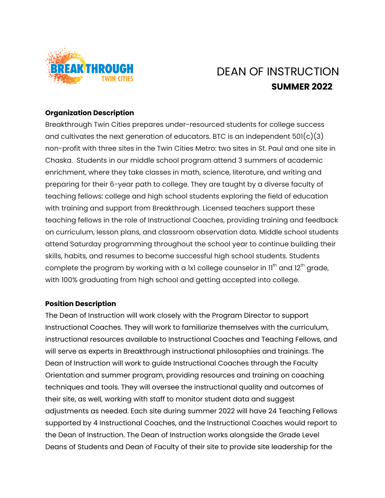

# DEAN OF INSTRUCTION **SUMMER 2022**

#### **Organization Description**

Breakthrough Twin Cities prepares under-resourced students for college success and cultivates the next generation of educators. BTC is an independent  $501(c)(3)$ non-profit with three sites in the Twin Cities Metro: two sites in St. Paul and one site in Chaska. Students in our middle school program attend 3 summers of academic enrichment, where they take classes in math, science, literature, and writing and preparing for their 6-year path to college. They are taught by a diverse faculty of teaching fellows: college and high school students exploring the field of education with training and support from Breakthrough. Licensed teachers support these teaching fellows in the role of Instructional Coaches, providing training and feedback on curriculum, lesson plans, and classroom observation data. Middle school students attend Saturday programming throughout the school year to continue building their skills, habits, and resumes to become successful high school students. Students complete the program by working with a 1x1 college counselor in 11<sup>th</sup> and 12<sup>th</sup> grade, with 100% graduating from high school and getting accepted into college.

#### **Position Description**

The Dean of Instruction will work closely with the Program Director to support Instructional Coaches. They will work to familiarize themselves with the curriculum, instructional resources available to Instructional Coaches and Teaching Fellows, and will serve as experts in Breakthrough instructional philosophies and trainings. The Dean of Instruction will work to guide Instructional Coaches through the Faculty Orientation and summer program, providing resources and training on coaching techniques and tools. They will oversee the instructional quality and outcomes of their site, as well, working with staff to monitor student data and suggest adjustments as needed. Each site during summer 2022 will have 24 Teaching Fellows supported by 4 Instructional Coaches, and the Instructional Coaches would report to the Dean of Instruction. The Dean of Instruction works alongside the Grade Level Deans of Students and Dean of Faculty of their site to provide site leadership for the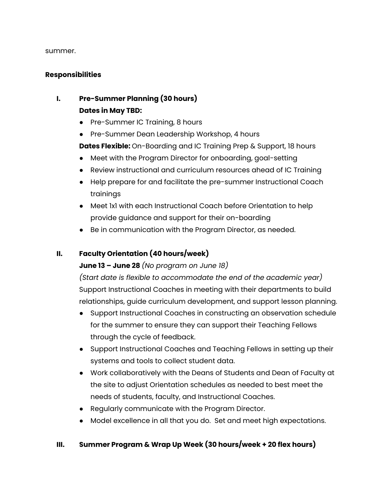summer.

#### **Responsibilities**

# **I. Pre-Summer Planning (30 hours) Dates in May TBD:**

- **●** Pre-Summer IC Training, 8 hours
- **●** Pre-Summer Dean Leadership Workshop, 4 hours

**Dates Flexible:** On-Boarding and IC Training Prep & Support, 18 hours

- Meet with the Program Director for onboarding, goal-setting
- Review instructional and curriculum resources ahead of IC Training
- Help prepare for and facilitate the pre-summer Instructional Coach trainings
- Meet 1x1 with each Instructional Coach before Orientation to help provide guidance and support for their on-boarding
- Be in communication with the Program Director, as needed.

## **II. Faculty Orientation (40 hours/week)**

### **June 13 – June 28** *(No program on June 18)*

*(Start date is flexible to accommodate the end of the academic year)* Support Instructional Coaches in meeting with their departments to build relationships, guide curriculum development, and support lesson planning.

- Support Instructional Coaches in constructing an observation schedule for the summer to ensure they can support their Teaching Fellows through the cycle of feedback.
- Support Instructional Coaches and Teaching Fellows in setting up their systems and tools to collect student data.
- Work collaboratively with the Deans of Students and Dean of Faculty at the site to adjust Orientation schedules as needed to best meet the needs of students, faculty, and Instructional Coaches.
- Regularly communicate with the Program Director.
- Model excellence in all that you do. Set and meet high expectations.

### **III. Summer Program & Wrap Up Week (30 hours/week + 20 flex hours)**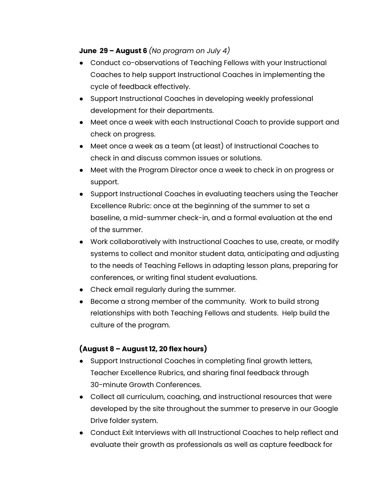#### **June 29 – August 6** *(No program on July 4)*

- Conduct co-observations of Teaching Fellows with your Instructional Coaches to help support Instructional Coaches in implementing the cycle of feedback effectively.
- Support Instructional Coaches in developing weekly professional development for their departments.
- Meet once a week with each Instructional Coach to provide support and check on progress.
- Meet once a week as a team (at least) of Instructional Coaches to check in and discuss common issues or solutions.
- Meet with the Program Director once a week to check in on progress or support.
- Support Instructional Coaches in evaluating teachers using the Teacher Excellence Rubric: once at the beginning of the summer to set a baseline, a mid-summer check-in, and a formal evaluation at the end of the summer.
- Work collaboratively with Instructional Coaches to use, create, or modify systems to collect and monitor student data, anticipating and adjusting to the needs of Teaching Fellows in adapting lesson plans, preparing for conferences, or writing final student evaluations.
- Check email regularly during the summer.
- Become a strong member of the community. Work to build strong relationships with both Teaching Fellows and students. Help build the culture of the program.

### **(August 8 – August 12, 20 flex hours)**

- Support Instructional Coaches in completing final growth letters, Teacher Excellence Rubrics, and sharing final feedback through 30-minute Growth Conferences.
- Collect all curriculum, coaching, and instructional resources that were developed by the site throughout the summer to preserve in our Google Drive folder system.
- Conduct Exit Interviews with all Instructional Coaches to help reflect and evaluate their growth as professionals as well as capture feedback for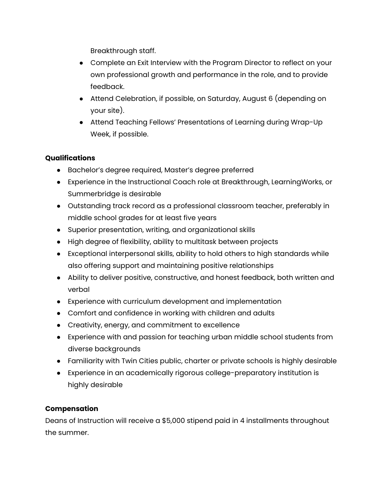Breakthrough staff.

- Complete an Exit Interview with the Program Director to reflect on your own professional growth and performance in the role, and to provide feedback.
- Attend Celebration, if possible, on Saturday, August 6 (depending on your site).
- Attend Teaching Fellows' Presentations of Learning during Wrap-Up Week, if possible.

# **Qualifications**

- Bachelor's degree required, Master's degree preferred
- Experience in the Instructional Coach role at Breakthrough, LearningWorks, or Summerbridge is desirable
- Outstanding track record as a professional classroom teacher, preferably in middle school grades for at least five years
- Superior presentation, writing, and organizational skills
- High degree of flexibility, ability to multitask between projects
- Exceptional interpersonal skills, ability to hold others to high standards while also offering support and maintaining positive relationships
- Ability to deliver positive, constructive, and honest feedback, both written and verbal
- Experience with curriculum development and implementation
- Comfort and confidence in working with children and adults
- Creativity, energy, and commitment to excellence
- Experience with and passion for teaching urban middle school students from diverse backgrounds
- Familiarity with Twin Cities public, charter or private schools is highly desirable
- Experience in an academically rigorous college-preparatory institution is highly desirable

### **Compensation**

Deans of Instruction will receive a \$5,000 stipend paid in 4 installments throughout the summer.